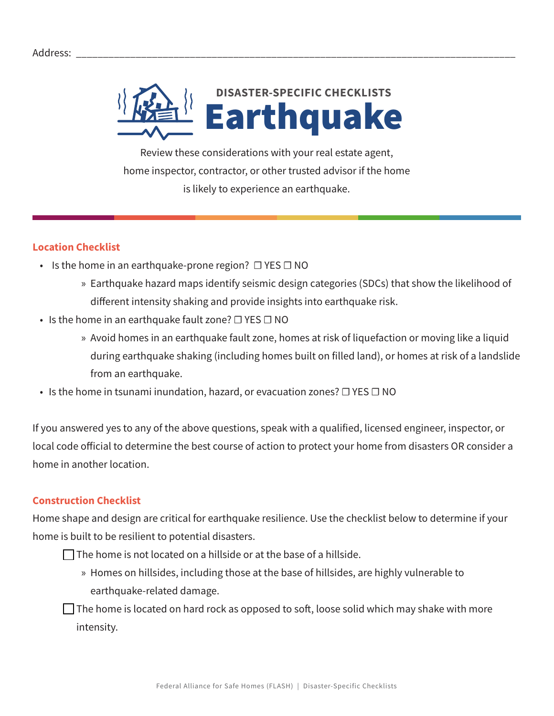

Review these considerations with your real estate agent, home inspector, contractor, or other trusted advisor if the home is likely to experience an earthquake.

## **Location Checklist**

- Is the home in an earthquake-prone region?  $\Box$  YES  $\Box$  NO
	- » Earthquake hazard maps identify seismic design categories (SDCs) that show the likelihood of different intensity shaking and provide insights into earthquake risk.
- Is the home in an earthquake fault zone? □ YES □ NO
	- » Avoid homes in an earthquake fault zone, homes at risk of liquefaction or moving like a liquid during earthquake shaking (including homes built on filled land), or homes at risk of a landslide from an earthquake.
- Is the home in tsunami inundation, hazard, or evacuation zones? □ YES □ NO

If you answered yes to any of the above questions, speak with a qualified, licensed engineer, inspector, or local code official to determine the best course of action to protect your home from disasters OR consider a home in another location.

## **Construction Checklist**

Home shape and design are critical for earthquake resilience. Use the checklist below to determine if your home is built to be resilient to potential disasters.

 $\Box$  The home is not located on a hillside or at the base of a hillside.

» Homes on hillsides, including those at the base of hillsides, are highly vulnerable to earthquake-related damage.

 $\Box$  The home is located on hard rock as opposed to soft, loose solid which may shake with more intensity.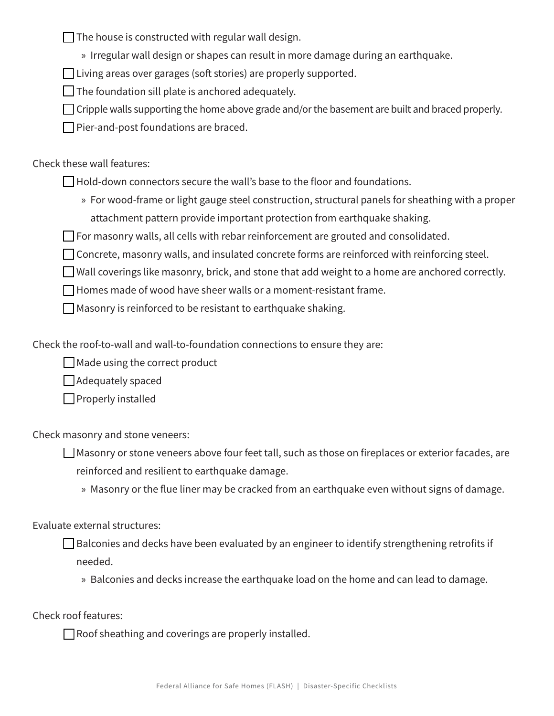$\Box$  The house is constructed with regular wall design.

» Irregular wall design or shapes can result in more damage during an earthquake.

 $\Box$  Living areas over garages (soft stories) are properly supported.

 $\Box$  The foundation sill plate is anchored adequately.

 $\Box$  Cripple walls supporting the home above grade and/or the basement are built and braced properly.

 $\Box$  Pier-and-post foundations are braced.

Check these wall features:

 $\Box$  Hold-down connectors secure the wall's base to the floor and foundations.

» For wood-frame or light gauge steel construction, structural panels for sheathing with a proper attachment pattern provide important protection from earthquake shaking.

 $\Box$  For masonry walls, all cells with rebar reinforcement are grouted and consolidated.

 $\Box$  Concrete, masonry walls, and insulated concrete forms are reinforced with reinforcing steel.

 $\Box$  Wall coverings like masonry, brick, and stone that add weight to a home are anchored correctly.

 $\Box$  Homes made of wood have sheer walls or a moment-resistant frame.

 $\Box$  Masonry is reinforced to be resistant to earthquake shaking.

Check the roof-to-wall and wall-to-foundation connections to ensure they are:

 $\Box$  Made using the correct product

 $\Box$  Adequately spaced

 $\Box$  Properly installed

Check masonry and stone veneers:

 $\Box$  Masonry or stone veneers above four feet tall, such as those on fireplaces or exterior facades, are reinforced and resilient to earthquake damage.

» Masonry or the flue liner may be cracked from an earthquake even without signs of damage.

Evaluate external structures:

 $\Box$  Balconies and decks have been evaluated by an engineer to identify strengthening retrofits if needed.

» Balconies and decks increase the earthquake load on the home and can lead to damage.

Check roof features:

 $\Box$  Roof sheathing and coverings are properly installed.